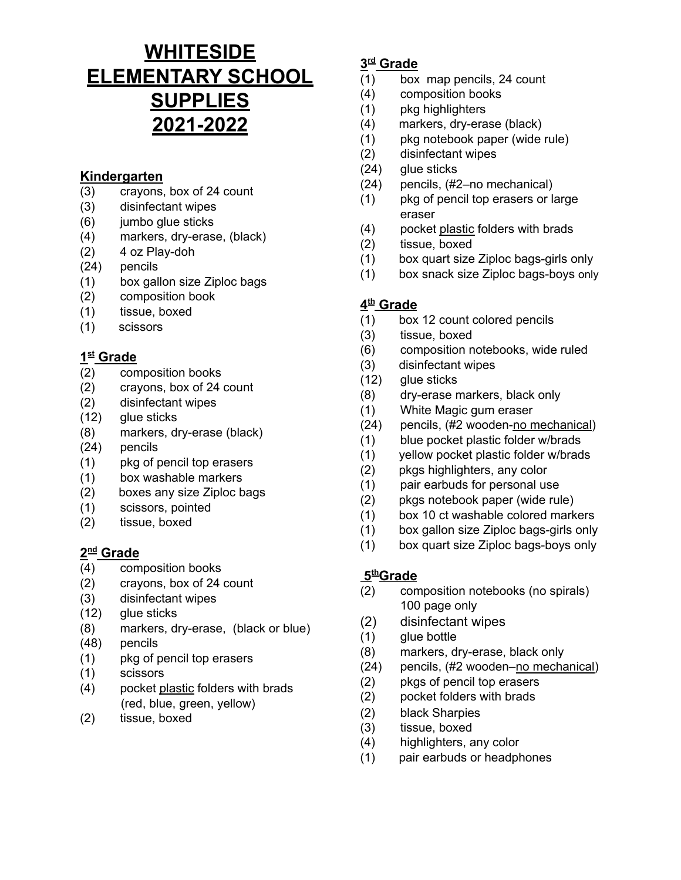# **WHITESIDE ELEMENTARY SCHOOL SUPPLIES 2021-2022**

# **Kindergarten**

- (3) crayons, box of 24 count
- (3) disinfectant wipes
- (6) jumbo glue sticks
- (4) markers, dry-erase, (black)
- (2) 4 oz Play-doh
- (24) pencils
- (1) box gallon size Ziploc bags
- (2) composition book
- (1) tissue, boxed
- (1) scissors

## **1 st Grade**

- (2) composition books
- (2) crayons, box of 24 count
- (2) disinfectant wipes
- (12) glue sticks
- (8) markers, dry-erase (black)
- (24) pencils
- (1) pkg of pencil top erasers
- (1) box washable markers
- (2) boxes any size Ziploc bags
- (1) scissors, pointed
- (2) tissue, boxed

#### **2 nd Grade**

- (4) composition books
- (2) crayons, box of 24 count
- (3) disinfectant wipes
- (12) glue sticks
- (8) markers, dry-erase, (black or blue)
- (48) pencils
- (1) pkg of pencil top erasers
- (1) scissors
- (4) pocket plastic folders with brads (red, blue, green, yellow)
- (2) tissue, boxed

## **3 rd Grade**

- (1) box map pencils, 24 count
- (4) composition books
- (1) pkg highlighters
- (4) markers, dry-erase (black)
- (1) pkg notebook paper (wide rule)
- (2) disinfectant wipes
- (24) glue sticks
- (24) pencils, (#2–no mechanical)
- (1) pkg of pencil top erasers or large eraser
- (4) pocket plastic folders with brads
- (2) tissue, boxed
- (1) box quart size Ziploc bags-girls only
- (1) box snack size Ziploc bags-boys only

#### **4 th Grade**

- (1) box 12 count colored pencils
- (3) tissue, boxed
- (6) composition notebooks, wide ruled
- (3) disinfectant wipes
- (12) glue sticks
- (8) dry-erase markers, black only
- (1) White Magic gum eraser
- (24) pencils, (#2 wooden-no mechanical)
- (1) blue pocket plastic folder w/brads
- (1) yellow pocket plastic folder w/brads
- (2) pkgs highlighters, any color
- (1) pair earbuds for personal use
- (2) pkgs notebook paper (wide rule)
- (1) box 10 ct washable colored markers
- (1) box gallon size Ziploc bags-girls only
- (1) box quart size Ziploc bags-boys only

#### **5 thGrade**

- (2) composition notebooks (no spirals) 100 page only
- (2) disinfectant wipes
- (1) glue bottle
- (8) markers, dry-erase, black only
- (24) pencils, (#2 wooden–no mechanical)
- (2) pkgs of pencil top erasers
- (2) pocket folders with brads
- (2) black Sharpies
- (3) tissue, boxed
- (4) highlighters, any color
- (1) pair earbuds or headphones